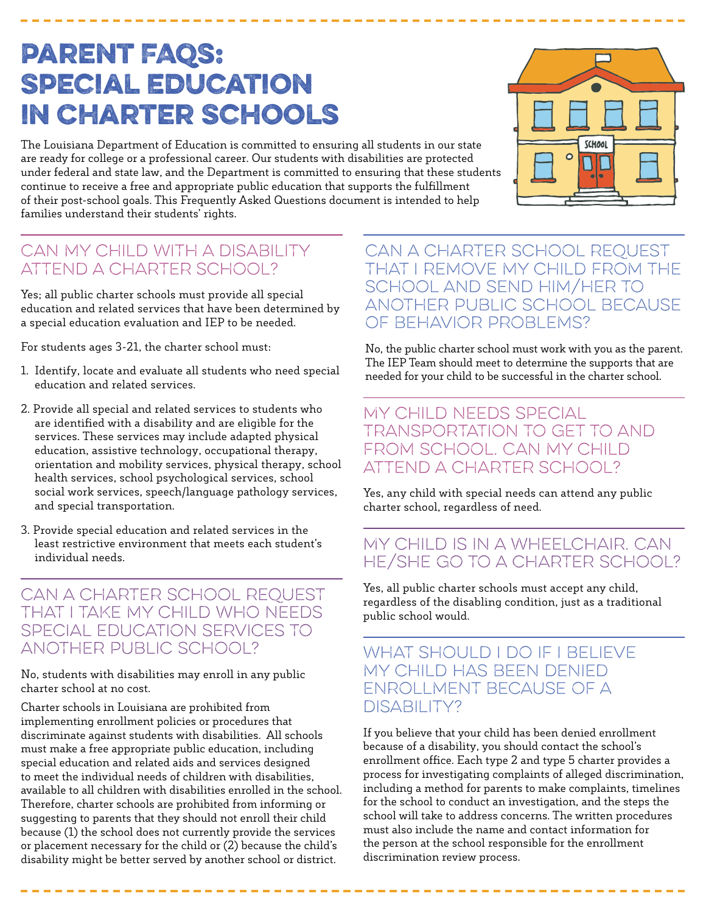# Parent FAQs: Special Education in Charter Schools

The Louisiana Department of Education is committed to ensuring all students in our state are ready for college or a professional career. Our students with disabilities are protected under federal and state law, and the Department is committed to ensuring that these students continue to receive a free and appropriate public education that supports the fulfillment of their post-school goals. This Frequently Asked Questions document is intended to help families understand their students' rights.

# Can my child with a disability attend a charter school?

Yes; all public charter schools must provide all special education and related services that have been determined by a special education evaluation and IEP to be needed.

For students ages 3-21, the charter school must:

- 1. Identify, locate and evaluate all students who need special education and related services.
- 2. Provide all special and related services to students who are identified with a disability and are eligible for the services. These services may include adapted physical education, assistive technology, occupational therapy, orientation and mobility services, physical therapy, school health services, school psychological services, school social work services, speech/language pathology services, and special transportation.
- 3. Provide special education and related services in the least restrictive environment that meets each student's individual needs.

CAN A CHARTER SCHOOL REQUEST that I take my child who needs special education services to another public school?

No, students with disabilities may enroll in any public charter school at no cost.

Charter schools in Louisiana are prohibited from implementing enrollment policies or procedures that discriminate against students with disabilities. All schools must make a free appropriate public education, including special education and related aids and services designed to meet the individual needs of children with disabilities, available to all children with disabilities enrolled in the school. Therefore, charter schools are prohibited from informing or suggesting to parents that they should not enroll their child because (1) the school does not currently provide the services or placement necessary for the child or (2) because the child's disability might be better served by another school or district.

-------------------------

## Can a charter school request that I remove my child from the school and send him/her to another public school because OF BEHAVIOR PROBLEMS?

No, the public charter school must work with you as the parent. The IEP Team should meet to determine the supports that are needed for your child to be successful in the charter school.

My child needs special transportation to get to and from school. Can my child attend a charter school?

Yes, any child with special needs can attend any public charter school, regardless of need.

# My child is in a wheelchair. Can he/she go to a charter school?

Yes, all public charter schools must accept any child, regardless of the disabling condition, just as a traditional public school would.

WHAT SHOULD I DO IF I BELIEVE my child has been denied enrollment because of a DISABILITY?

If you believe that your child has been denied enrollment because of a disability, you should contact the school's enrollment office. Each type 2 and type 5 charter provides a process for investigating complaints of alleged discrimination, including a method for parents to make complaints, timelines for the school to conduct an investigation, and the steps the school will take to address concerns. The written procedures must also include the name and contact information for the person at the school responsible for the enrollment discrimination review process.

-----------------------------------